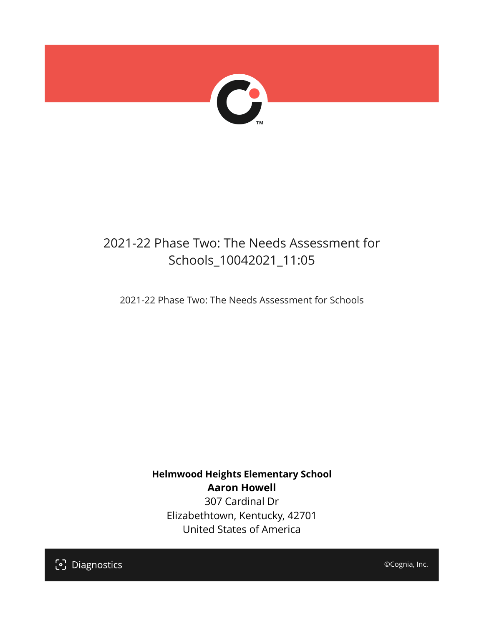

## 2021-22 Phase Two: The Needs Assessment for Schools\_10042021\_11:05

2021-22 Phase Two: The Needs Assessment for Schools

**Helmwood Heights Elementary School Aaron Howell** 307 Cardinal Dr Elizabethtown, Kentucky, 42701 United States of America

[၁] Diagnostics

©Cognia, Inc.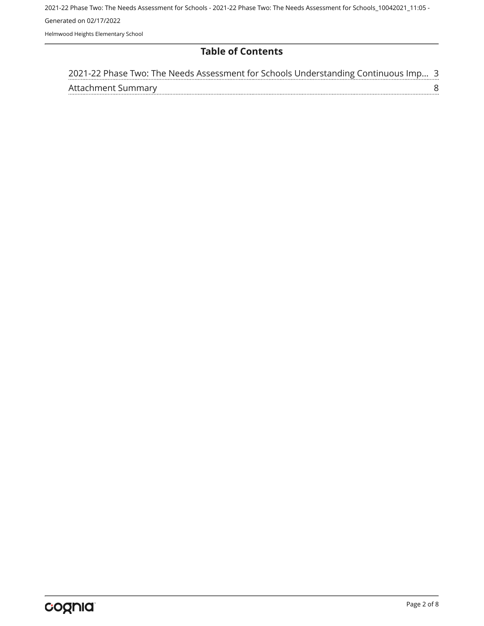2021-22 Phase Two: The Needs Assessment for Schools - 2021-22 Phase Two: The Needs Assessment for Schools\_10042021\_11:05 - Generated on 02/17/2022 Helmwood Heights Elementary School

#### **Table of Contents**

| 2021-22 Phase Two: The Needs Assessment for Schools Understanding Continuous Imp 3 |  |
|------------------------------------------------------------------------------------|--|
| Attachment Summary                                                                 |  |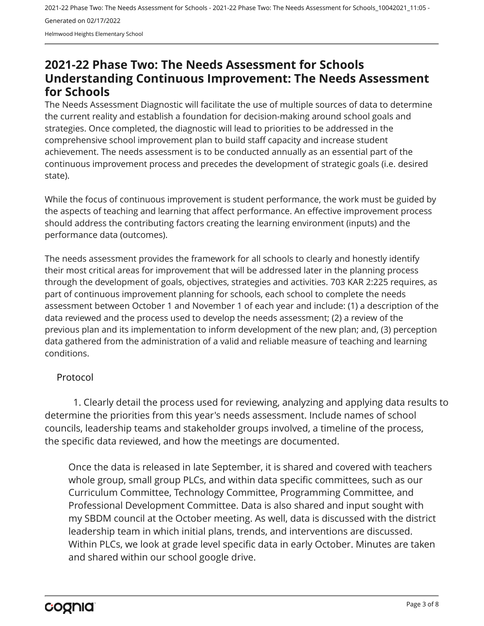Helmwood Heights Elementary School

### <span id="page-2-0"></span>**2021-22 Phase Two: The Needs Assessment for Schools Understanding Continuous Improvement: The Needs Assessment for Schools**

The Needs Assessment Diagnostic will facilitate the use of multiple sources of data to determine the current reality and establish a foundation for decision-making around school goals and strategies. Once completed, the diagnostic will lead to priorities to be addressed in the comprehensive school improvement plan to build staff capacity and increase student achievement. The needs assessment is to be conducted annually as an essential part of the continuous improvement process and precedes the development of strategic goals (i.e. desired state).

While the focus of continuous improvement is student performance, the work must be guided by the aspects of teaching and learning that affect performance. An effective improvement process should address the contributing factors creating the learning environment (inputs) and the performance data (outcomes).

The needs assessment provides the framework for all schools to clearly and honestly identify their most critical areas for improvement that will be addressed later in the planning process through the development of goals, objectives, strategies and activities. 703 KAR 2:225 requires, as part of continuous improvement planning for schools, each school to complete the needs assessment between October 1 and November 1 of each year and include: (1) a description of the data reviewed and the process used to develop the needs assessment; (2) a review of the previous plan and its implementation to inform development of the new plan; and, (3) perception data gathered from the administration of a valid and reliable measure of teaching and learning conditions.

#### Protocol

1. Clearly detail the process used for reviewing, analyzing and applying data results to determine the priorities from this year's needs assessment. Include names of school councils, leadership teams and stakeholder groups involved, a timeline of the process, the specific data reviewed, and how the meetings are documented.

Once the data is released in late September, it is shared and covered with teachers whole group, small group PLCs, and within data specific committees, such as our Curriculum Committee, Technology Committee, Programming Committee, and Professional Development Committee. Data is also shared and input sought with my SBDM council at the October meeting. As well, data is discussed with the district leadership team in which initial plans, trends, and interventions are discussed. Within PLCs, we look at grade level specific data in early October. Minutes are taken and shared within our school google drive.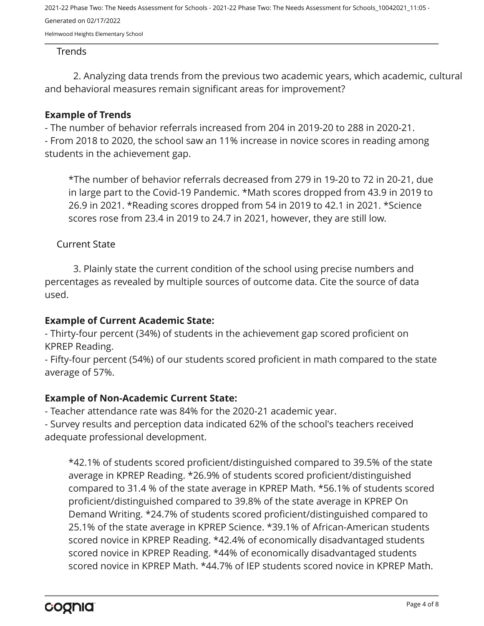Helmwood Heights Elementary School

#### Trends

2. Analyzing data trends from the previous two academic years, which academic, cultural and behavioral measures remain significant areas for improvement?

#### **Example of Trends**

- The number of behavior referrals increased from 204 in 2019-20 to 288 in 2020-21.

- From 2018 to 2020, the school saw an 11% increase in novice scores in reading among students in the achievement gap.

\*The number of behavior referrals decreased from 279 in 19-20 to 72 in 20-21, due in large part to the Covid-19 Pandemic. \*Math scores dropped from 43.9 in 2019 to 26.9 in 2021. \*Reading scores dropped from 54 in 2019 to 42.1 in 2021. \*Science scores rose from 23.4 in 2019 to 24.7 in 2021, however, they are still low.

#### Current State

3. Plainly state the current condition of the school using precise numbers and percentages as revealed by multiple sources of outcome data. Cite the source of data used.

#### **Example of Current Academic State:**

- Thirty-four percent (34%) of students in the achievement gap scored proficient on KPREP Reading.

- Fifty-four percent (54%) of our students scored proficient in math compared to the state average of 57%.

#### **Example of Non-Academic Current State:**

- Teacher attendance rate was 84% for the 2020-21 academic year.

- Survey results and perception data indicated 62% of the school's teachers received adequate professional development.

\*42.1% of students scored proficient/distinguished compared to 39.5% of the state average in KPREP Reading. \*26.9% of students scored proficient/distinguished compared to 31.4 % of the state average in KPREP Math. \*56.1% of students scored proficient/distinguished compared to 39.8% of the state average in KPREP On Demand Writing. \*24.7% of students scored proficient/distinguished compared to 25.1% of the state average in KPREP Science. \*39.1% of African-American students scored novice in KPREP Reading. \*42.4% of economically disadvantaged students scored novice in KPREP Reading. \*44% of economically disadvantaged students scored novice in KPREP Math. \*44.7% of IEP students scored novice in KPREP Math.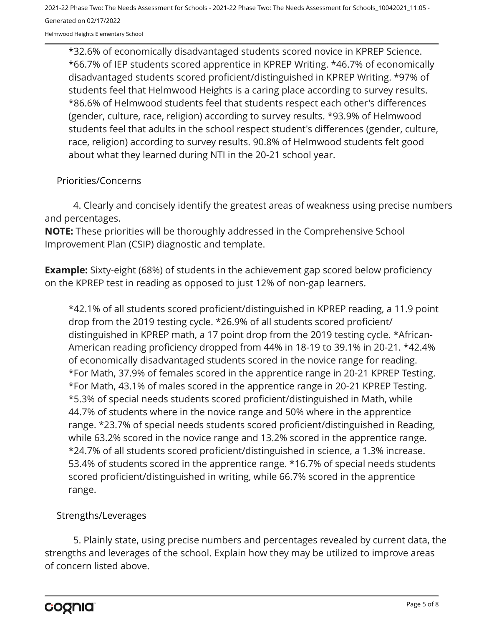Helmwood Heights Elementary School

\*32.6% of economically disadvantaged students scored novice in KPREP Science. \*66.7% of IEP students scored apprentice in KPREP Writing. \*46.7% of economically disadvantaged students scored proficient/distinguished in KPREP Writing. \*97% of students feel that Helmwood Heights is a caring place according to survey results. \*86.6% of Helmwood students feel that students respect each other's differences (gender, culture, race, religion) according to survey results. \*93.9% of Helmwood students feel that adults in the school respect student's differences (gender, culture, race, religion) according to survey results. 90.8% of Helmwood students felt good about what they learned during NTI in the 20-21 school year.

#### Priorities/Concerns

4. Clearly and concisely identify the greatest areas of weakness using precise numbers and percentages.

**NOTE:** These priorities will be thoroughly addressed in the Comprehensive School Improvement Plan (CSIP) diagnostic and template.

**Example:** Sixty-eight (68%) of students in the achievement gap scored below proficiency on the KPREP test in reading as opposed to just 12% of non-gap learners.

\*42.1% of all students scored proficient/distinguished in KPREP reading, a 11.9 point drop from the 2019 testing cycle. \*26.9% of all students scored proficient/ distinguished in KPREP math, a 17 point drop from the 2019 testing cycle. \*African-American reading proficiency dropped from 44% in 18-19 to 39.1% in 20-21. \*42.4% of economically disadvantaged students scored in the novice range for reading. \*For Math, 37.9% of females scored in the apprentice range in 20-21 KPREP Testing. \*For Math, 43.1% of males scored in the apprentice range in 20-21 KPREP Testing. \*5.3% of special needs students scored proficient/distinguished in Math, while 44.7% of students where in the novice range and 50% where in the apprentice range. \*23.7% of special needs students scored proficient/distinguished in Reading, while 63.2% scored in the novice range and 13.2% scored in the apprentice range. \*24.7% of all students scored proficient/distinguished in science, a 1.3% increase. 53.4% of students scored in the apprentice range. \*16.7% of special needs students scored proficient/distinguished in writing, while 66.7% scored in the apprentice range.

#### Strengths/Leverages

5. Plainly state, using precise numbers and percentages revealed by current data, the strengths and leverages of the school. Explain how they may be utilized to improve areas of concern listed above.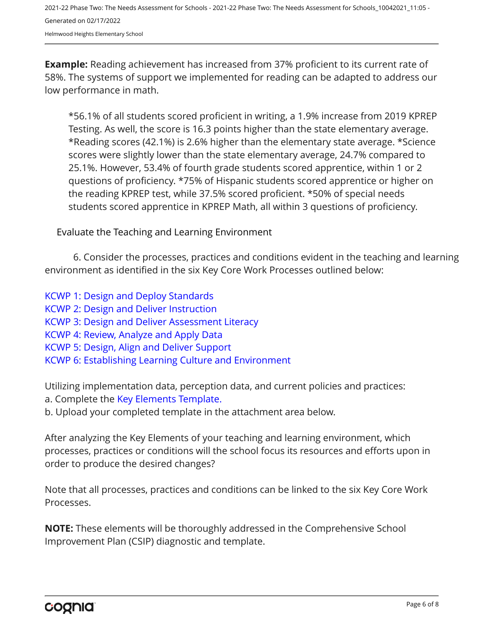Helmwood Heights Elementary School

**Example:** Reading achievement has increased from 37% proficient to its current rate of 58%. The systems of support we implemented for reading can be adapted to address our low performance in math.

\*56.1% of all students scored proficient in writing, a 1.9% increase from 2019 KPREP Testing. As well, the score is 16.3 points higher than the state elementary average. \*Reading scores (42.1%) is 2.6% higher than the elementary state average. \*Science scores were slightly lower than the state elementary average, 24.7% compared to 25.1%. However, 53.4% of fourth grade students scored apprentice, within 1 or 2 questions of proficiency. \*75% of Hispanic students scored apprentice or higher on the reading KPREP test, while 37.5% scored proficient. \*50% of special needs students scored apprentice in KPREP Math, all within 3 questions of proficiency.

Evaluate the Teaching and Learning Environment

6. Consider the processes, practices and conditions evident in the teaching and learning environment as identified in the six Key Core Work Processes outlined below:

[KCWP 1: Design and Deploy Standards](https://education.ky.gov/school/csip/Documents/KCWP%201%20Strategic%20Design%20and%20Deploy%20Standards.pdf)

- [KCWP 2: Design and Deliver Instruction](https://education.ky.gov/school/csip/Documents/KCWP%202%20Strategic%20Design%20and%20Deliver%20Instruction.pdf)
- [KCWP 3: Design and Deliver Assessment Literacy](https://education.ky.gov/school/csip/Documents/KCWP%203%20Strategic%20Design%20and%20Deliver%20Assessment%20Literacy.pdf)
- [KCWP 4: Review, Analyze and Apply Data](https://education.ky.gov/school/csip/Documents/KCWP%204%20Strategic%20Review%20Analyze%20and%20Apply%20Data.pdf)
- [KCWP 5: Design, Align and Deliver Support](https://education.ky.gov/school/csip/Documents/KCWP%205%20Strategic%20Design%20Align%20Deliver%20Support%20Processes.pdf)
- [KCWP 6: Establishing Learning Culture and Environment](https://education.ky.gov/school/csip/Documents/KCWP%206%20Strategic%20Establish%20Learning%20Culture%20and%20Environment.pdf)

Utilizing implementation data, perception data, and current policies and practices:

- a. Complete the [Key Elements Template.](https://education.ky.gov/school/csip/Documents/School%20Key%20Elements%20Template.docx)
- b. Upload your completed template in the attachment area below.

After analyzing the Key Elements of your teaching and learning environment, which processes, practices or conditions will the school focus its resources and efforts upon in order to produce the desired changes?

Note that all processes, practices and conditions can be linked to the six Key Core Work Processes.

**NOTE:** These elements will be thoroughly addressed in the Comprehensive School Improvement Plan (CSIP) diagnostic and template.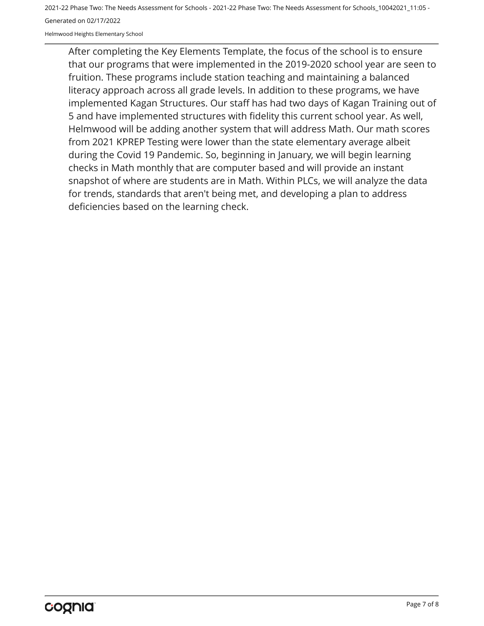Helmwood Heights Elementary School

After completing the Key Elements Template, the focus of the school is to ensure that our programs that were implemented in the 2019-2020 school year are seen to fruition. These programs include station teaching and maintaining a balanced literacy approach across all grade levels. In addition to these programs, we have implemented Kagan Structures. Our staff has had two days of Kagan Training out of 5 and have implemented structures with fidelity this current school year. As well, Helmwood will be adding another system that will address Math. Our math scores from 2021 KPREP Testing were lower than the state elementary average albeit during the Covid 19 Pandemic. So, beginning in January, we will begin learning checks in Math monthly that are computer based and will provide an instant snapshot of where are students are in Math. Within PLCs, we will analyze the data for trends, standards that aren't being met, and developing a plan to address deficiencies based on the learning check.